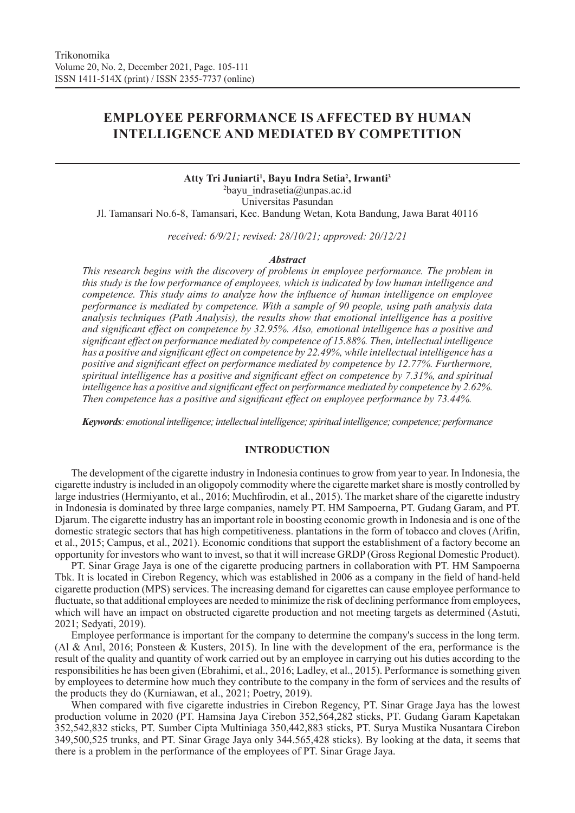# **EMPLOYEE PERFORMANCE IS AFFECTED BY HUMAN INTELLIGENCE AND MEDIATED BY COMPETITION**

**Atty Tri Juniarti1 , Bayu Indra Setia2 , Irwanti3** 2 bayu\_indrasetia@unpas.ac.id Universitas Pasundan Jl. Tamansari No.6-8, Tamansari, Kec. Bandung Wetan, Kota Bandung, Jawa Barat 40116

*received: 6/9/21; revised: 28/10/21; approved: 20/12/21*

#### *Abstract*

*This research begins with the discovery of problems in employee performance. The problem in this study is the low performance of employees, which is indicated by low human intelligence and competence. This study aims to analyze how the influence of human intelligence on employee performance is mediated by competence. With a sample of 90 people, using path analysis data analysis techniques (Path Analysis), the results show that emotional intelligence has a positive and significant effect on competence by 32.95%. Also, emotional intelligence has a positive and significant effect on performance mediated by competence of 15.88%. Then, intellectual intelligence has a positive and significant effect on competence by 22.49%, while intellectual intelligence has a positive and significant effect on performance mediated by competence by 12.77%. Furthermore, spiritual intelligence has a positive and significant effect on competence by 7.31%, and spiritual intelligence has a positive and significant effect on performance mediated by competence by 2.62%. Then competence has a positive and significant effect on employee performance by 73.44%.* 

*Keywords: emotional intelligence; intellectual intelligence; spiritual intelligence; competence; performance*

# **INTRODUCTION**

The development of the cigarette industry in Indonesia continues to grow from year to year. In Indonesia, the cigarette industry is included in an oligopoly commodity where the cigarette market share is mostly controlled by large industries (Hermiyanto, et al., 2016; Muchfirodin, et al., 2015). The market share of the cigarette industry in Indonesia is dominated by three large companies, namely PT. HM Sampoerna, PT. Gudang Garam, and PT. Djarum. The cigarette industry has an important role in boosting economic growth in Indonesia and is one of the domestic strategic sectors that has high competitiveness. plantations in the form of tobacco and cloves (Arifin, et al., 2015; Campus, et al., 2021). Economic conditions that support the establishment of a factory become an opportunity for investors who want to invest, so that it will increase GRDP (Gross Regional Domestic Product).

PT. Sinar Grage Jaya is one of the cigarette producing partners in collaboration with PT. HM Sampoerna Tbk. It is located in Cirebon Regency, which was established in 2006 as a company in the field of hand-held cigarette production (MPS) services. The increasing demand for cigarettes can cause employee performance to fluctuate, so that additional employees are needed to minimize the risk of declining performance from employees, which will have an impact on obstructed cigarette production and not meeting targets as determined (Astuti, 2021; Sedyati, 2019).

Employee performance is important for the company to determine the company's success in the long term. (Al & Anıl, 2016; Ponsteen & Kusters, 2015). In line with the development of the era, performance is the result of the quality and quantity of work carried out by an employee in carrying out his duties according to the responsibilities he has been given (Ebrahimi, et al., 2016; Ladley, et al., 2015). Performance is something given by employees to determine how much they contribute to the company in the form of services and the results of the products they do (Kurniawan, et al., 2021; Poetry, 2019).

When compared with five cigarette industries in Cirebon Regency, PT. Sinar Grage Jaya has the lowest production volume in 2020 (PT. Hamsina Jaya Cirebon 352,564,282 sticks, PT. Gudang Garam Kapetakan 352,542,832 sticks, PT. Sumber Cipta Multiniaga 350,442,883 sticks, PT. Surya Mustika Nusantara Cirebon 349,500,525 trunks, and PT. Sinar Grage Jaya only 344.565,428 sticks). By looking at the data, it seems that there is a problem in the performance of the employees of PT. Sinar Grage Jaya.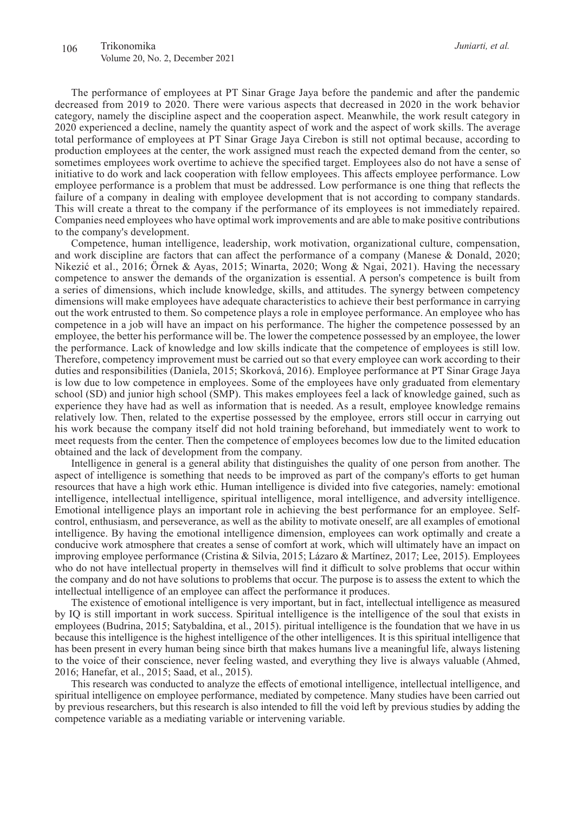The performance of employees at PT Sinar Grage Jaya before the pandemic and after the pandemic decreased from 2019 to 2020. There were various aspects that decreased in 2020 in the work behavior category, namely the discipline aspect and the cooperation aspect. Meanwhile, the work result category in 2020 experienced a decline, namely the quantity aspect of work and the aspect of work skills. The average total performance of employees at PT Sinar Grage Jaya Cirebon is still not optimal because, according to production employees at the center, the work assigned must reach the expected demand from the center, so sometimes employees work overtime to achieve the specified target. Employees also do not have a sense of initiative to do work and lack cooperation with fellow employees. This affects employee performance. Low employee performance is a problem that must be addressed. Low performance is one thing that reflects the failure of a company in dealing with employee development that is not according to company standards. This will create a threat to the company if the performance of its employees is not immediately repaired. Companies need employees who have optimal work improvements and are able to make positive contributions to the company's development.

Competence, human intelligence, leadership, work motivation, organizational culture, compensation, and work discipline are factors that can affect the performance of a company (Manese & Donald, 2020; Nikezić et al., 2016; Örnek & Ayas, 2015; Winarta, 2020; Wong & Ngai, 2021). Having the necessary competence to answer the demands of the organization is essential. A person's competence is built from a series of dimensions, which include knowledge, skills, and attitudes. The synergy between competency dimensions will make employees have adequate characteristics to achieve their best performance in carrying out the work entrusted to them. So competence plays a role in employee performance. An employee who has competence in a job will have an impact on his performance. The higher the competence possessed by an employee, the better his performance will be. The lower the competence possessed by an employee, the lower the performance. Lack of knowledge and low skills indicate that the competence of employees is still low. Therefore, competency improvement must be carried out so that every employee can work according to their duties and responsibilities (Daniela, 2015; Skorková, 2016). Employee performance at PT Sinar Grage Jaya is low due to low competence in employees. Some of the employees have only graduated from elementary school (SD) and junior high school (SMP). This makes employees feel a lack of knowledge gained, such as experience they have had as well as information that is needed. As a result, employee knowledge remains relatively low. Then, related to the expertise possessed by the employee, errors still occur in carrying out his work because the company itself did not hold training beforehand, but immediately went to work to meet requests from the center. Then the competence of employees becomes low due to the limited education obtained and the lack of development from the company.

Intelligence in general is a general ability that distinguishes the quality of one person from another. The aspect of intelligence is something that needs to be improved as part of the company's efforts to get human resources that have a high work ethic. Human intelligence is divided into five categories, namely: emotional intelligence, intellectual intelligence, spiritual intelligence, moral intelligence, and adversity intelligence. Emotional intelligence plays an important role in achieving the best performance for an employee. Selfcontrol, enthusiasm, and perseverance, as well as the ability to motivate oneself, are all examples of emotional intelligence. By having the emotional intelligence dimension, employees can work optimally and create a conducive work atmosphere that creates a sense of comfort at work, which will ultimately have an impact on improving employee performance (Cristina & Silvia, 2015; Lázaro & Martínez, 2017; Lee, 2015). Employees who do not have intellectual property in themselves will find it difficult to solve problems that occur within the company and do not have solutions to problems that occur. The purpose is to assess the extent to which the intellectual intelligence of an employee can affect the performance it produces.

The existence of emotional intelligence is very important, but in fact, intellectual intelligence as measured by IQ is still important in work success. Spiritual intelligence is the intelligence of the soul that exists in employees (Budrina, 2015; Satybaldina, et al., 2015). piritual intelligence is the foundation that we have in us because this intelligence is the highest intelligence of the other intelligences. It is this spiritual intelligence that has been present in every human being since birth that makes humans live a meaningful life, always listening to the voice of their conscience, never feeling wasted, and everything they live is always valuable (Ahmed, 2016; Hanefar, et al., 2015; Saad, et al., 2015).

This research was conducted to analyze the effects of emotional intelligence, intellectual intelligence, and spiritual intelligence on employee performance, mediated by competence. Many studies have been carried out by previous researchers, but this research is also intended to fill the void left by previous studies by adding the competence variable as a mediating variable or intervening variable.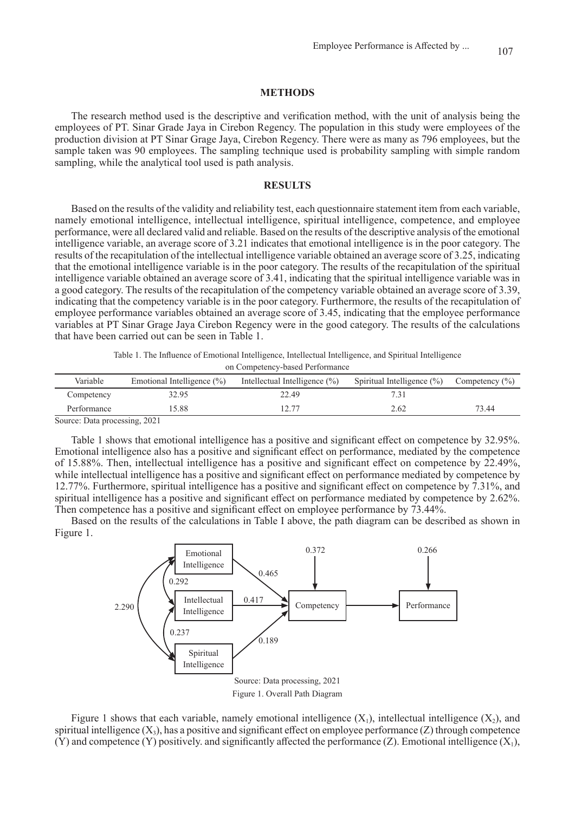# **METHODS**

The research method used is the descriptive and verification method, with the unit of analysis being the employees of PT. Sinar Grade Jaya in Cirebon Regency. The population in this study were employees of the production division at PT Sinar Grage Jaya, Cirebon Regency. There were as many as 796 employees, but the sample taken was 90 employees. The sampling technique used is probability sampling with simple random sampling, while the analytical tool used is path analysis.

#### **RESULTS**

Based on the results of the validity and reliability test, each questionnaire statement item from each variable, namely emotional intelligence, intellectual intelligence, spiritual intelligence, competence, and employee performance, were all declared valid and reliable. Based on the results of the descriptive analysis of the emotional intelligence variable, an average score of 3.21 indicates that emotional intelligence is in the poor category. The results of the recapitulation of the intellectual intelligence variable obtained an average score of 3.25, indicating that the emotional intelligence variable is in the poor category. The results of the recapitulation of the spiritual intelligence variable obtained an average score of 3.41, indicating that the spiritual intelligence variable was in a good category. The results of the recapitulation of the competency variable obtained an average score of 3.39, indicating that the competency variable is in the poor category. Furthermore, the results of the recapitulation of employee performance variables obtained an average score of 3.45, indicating that the employee performance variables at PT Sinar Grage Jaya Cirebon Regency were in the good category. The results of the calculations that have been carried out can be seen in Table 1.

> Table 1. The Influence of Emotional Intelligence, Intellectual Intelligence, and Spiritual Intelligence on Competency-based Performance

| Variable             | Emotional Intelligence $(\% )$ | Intellectual Intelligence $(\%)$ | Spiritual Intelligence $(\%)$ | Competency $(\% )$ |
|----------------------|--------------------------------|----------------------------------|-------------------------------|--------------------|
| Competency           | 32.95                          | 22.49                            |                               |                    |
| Performance          | 15.88                          | 12.77                            | 2.62                          | 73.44              |
| $\sim$<br>$\sqrt{2}$ | $\sim$ $\sim$ $\sim$ $\sim$    |                                  |                               |                    |

Source: Data processing, 2021

Table 1 shows that emotional intelligence has a positive and significant effect on competence by 32.95%. Emotional intelligence also has a positive and significant effect on performance, mediated by the competence of 15.88%. Then, intellectual intelligence has a positive and significant effect on competence by 22.49%, while intellectual intelligence has a positive and significant effect on performance mediated by competence by 12.77%. Furthermore, spiritual intelligence has a positive and significant effect on competence by 7.31%, and spiritual intelligence has a positive and significant effect on performance mediated by competence by 2.62%. Then competence has a positive and significant effect on employee performance by 73.44%.

Based on the results of the calculations in Table I above, the path diagram can be described as shown in Figure 1.



Figure 1 shows that each variable, namely emotional intelligence  $(X_1)$ , intellectual intelligence  $(X_2)$ , and spiritual intelligence  $(X_3)$ , has a positive and significant effect on employee performance  $(Z)$  through competence (Y) and competence (Y) positively. and significantly affected the performance (Z). Emotional intelligence  $(X_1)$ ,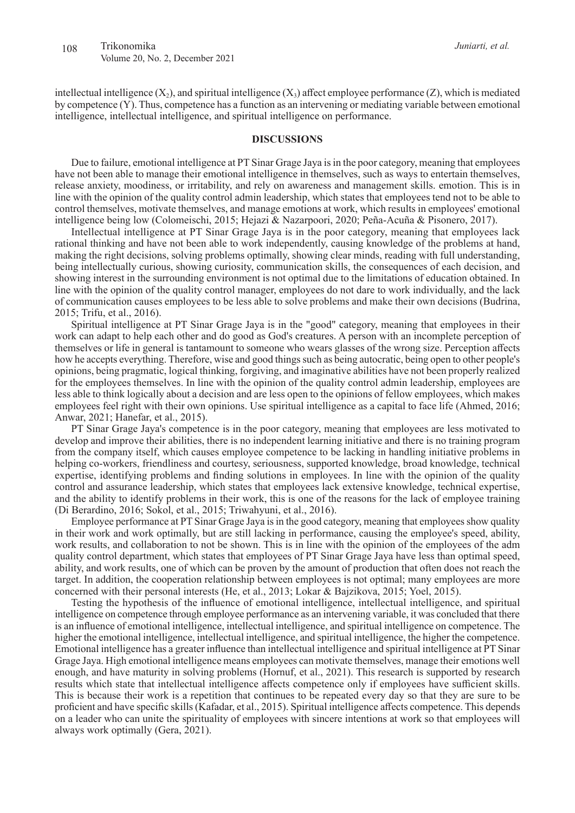intellectual intelligence  $(X_2)$ , and spiritual intelligence  $(X_3)$  affect employee performance  $(Z)$ , which is mediated by competence (Y). Thus, competence has a function as an intervening or mediating variable between emotional intelligence, intellectual intelligence, and spiritual intelligence on performance.

#### **DISCUSSIONS**

Due to failure, emotional intelligence at PT Sinar Grage Jaya is in the poor category, meaning that employees have not been able to manage their emotional intelligence in themselves, such as ways to entertain themselves, release anxiety, moodiness, or irritability, and rely on awareness and management skills. emotion. This is in line with the opinion of the quality control admin leadership, which states that employees tend not to be able to control themselves, motivate themselves, and manage emotions at work, which results in employees' emotional intelligence being low (Colomeischi, 2015; Hejazi & Nazarpoori, 2020; Peña-Acuña & Pisonero, 2017).

Intellectual intelligence at PT Sinar Grage Jaya is in the poor category, meaning that employees lack rational thinking and have not been able to work independently, causing knowledge of the problems at hand, making the right decisions, solving problems optimally, showing clear minds, reading with full understanding, being intellectually curious, showing curiosity, communication skills, the consequences of each decision, and showing interest in the surrounding environment is not optimal due to the limitations of education obtained. In line with the opinion of the quality control manager, employees do not dare to work individually, and the lack of communication causes employees to be less able to solve problems and make their own decisions (Budrina, 2015; Trifu, et al., 2016).

Spiritual intelligence at PT Sinar Grage Jaya is in the "good" category, meaning that employees in their work can adapt to help each other and do good as God's creatures. A person with an incomplete perception of themselves or life in general is tantamount to someone who wears glasses of the wrong size. Perception affects how he accepts everything. Therefore, wise and good things such as being autocratic, being open to other people's opinions, being pragmatic, logical thinking, forgiving, and imaginative abilities have not been properly realized for the employees themselves. In line with the opinion of the quality control admin leadership, employees are less able to think logically about a decision and are less open to the opinions of fellow employees, which makes employees feel right with their own opinions. Use spiritual intelligence as a capital to face life (Ahmed, 2016; Anwar, 2021; Hanefar, et al., 2015).

PT Sinar Grage Jaya's competence is in the poor category, meaning that employees are less motivated to develop and improve their abilities, there is no independent learning initiative and there is no training program from the company itself, which causes employee competence to be lacking in handling initiative problems in helping co-workers, friendliness and courtesy, seriousness, supported knowledge, broad knowledge, technical expertise, identifying problems and finding solutions in employees. In line with the opinion of the quality control and assurance leadership, which states that employees lack extensive knowledge, technical expertise, and the ability to identify problems in their work, this is one of the reasons for the lack of employee training (Di Berardino, 2016; Sokol, et al., 2015; Triwahyuni, et al., 2016).

Employee performance at PT Sinar Grage Jaya is in the good category, meaning that employees show quality in their work and work optimally, but are still lacking in performance, causing the employee's speed, ability, work results, and collaboration to not be shown. This is in line with the opinion of the employees of the adm quality control department, which states that employees of PT Sinar Grage Jaya have less than optimal speed, ability, and work results, one of which can be proven by the amount of production that often does not reach the target. In addition, the cooperation relationship between employees is not optimal; many employees are more concerned with their personal interests (He, et al., 2013; Lokar & Bajzikova, 2015; Yoel, 2015).

Testing the hypothesis of the influence of emotional intelligence, intellectual intelligence, and spiritual intelligence on competence through employee performance as an intervening variable, it was concluded that there is an influence of emotional intelligence, intellectual intelligence, and spiritual intelligence on competence. The higher the emotional intelligence, intellectual intelligence, and spiritual intelligence, the higher the competence. Emotional intelligence has a greater influence than intellectual intelligence and spiritual intelligence at PT Sinar Grage Jaya. High emotional intelligence means employees can motivate themselves, manage their emotions well enough, and have maturity in solving problems (Hornuf, et al., 2021). This research is supported by research results which state that intellectual intelligence affects competence only if employees have sufficient skills. This is because their work is a repetition that continues to be repeated every day so that they are sure to be proficient and have specific skills (Kafadar, et al., 2015). Spiritual intelligence affects competence. This depends on a leader who can unite the spirituality of employees with sincere intentions at work so that employees will always work optimally (Gera, 2021).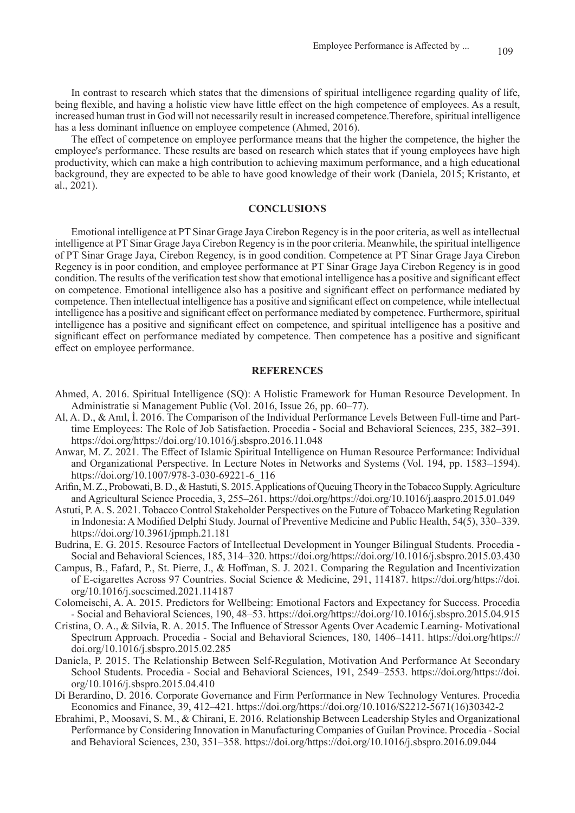In contrast to research which states that the dimensions of spiritual intelligence regarding quality of life, being flexible, and having a holistic view have little effect on the high competence of employees. As a result, increased human trust in God will not necessarily result in increased competence.Therefore, spiritual intelligence has a less dominant influence on employee competence (Ahmed, 2016).

The effect of competence on employee performance means that the higher the competence, the higher the employee's performance. These results are based on research which states that if young employees have high productivity, which can make a high contribution to achieving maximum performance, and a high educational background, they are expected to be able to have good knowledge of their work (Daniela, 2015; Kristanto, et al., 2021).

# **CONCLUSIONS**

Emotional intelligence at PT Sinar Grage Jaya Cirebon Regency is in the poor criteria, as well as intellectual intelligence at PT Sinar Grage Jaya Cirebon Regency is in the poor criteria. Meanwhile, the spiritual intelligence of PT Sinar Grage Jaya, Cirebon Regency, is in good condition. Competence at PT Sinar Grage Jaya Cirebon Regency is in poor condition, and employee performance at PT Sinar Grage Jaya Cirebon Regency is in good condition. The results of the verification test show that emotional intelligence has a positive and significant effect on competence. Emotional intelligence also has a positive and significant effect on performance mediated by competence. Then intellectual intelligence has a positive and significant effect on competence, while intellectual intelligence has a positive and significant effect on performance mediated by competence. Furthermore, spiritual intelligence has a positive and significant effect on competence, and spiritual intelligence has a positive and significant effect on performance mediated by competence. Then competence has a positive and significant effect on employee performance.

### **REFERENCES**

- Ahmed, A. 2016. Spiritual Intelligence (SQ): A Holistic Framework for Human Resource Development. In Administratie si Management Public (Vol. 2016, Issue 26, pp. 60–77).
- Al, A. D., & Anıl, İ. 2016. The Comparison of the Individual Performance Levels Between Full-time and Parttime Employees: The Role of Job Satisfaction. Procedia - Social and Behavioral Sciences, 235, 382–391. https://doi.org/https://doi.org/10.1016/j.sbspro.2016.11.048
- Anwar, M. Z. 2021. The Effect of Islamic Spiritual Intelligence on Human Resource Performance: Individual and Organizational Perspective. In Lecture Notes in Networks and Systems (Vol. 194, pp. 1583–1594). https://doi.org/10.1007/978-3-030-69221-6\_116
- Arifin, M. Z., Probowati, B. D., & Hastuti, S. 2015. Applications of Queuing Theory in the Tobacco Supply. Agriculture and Agricultural Science Procedia, 3, 255–261. https://doi.org/https://doi.org/10.1016/j.aaspro.2015.01.049
- Astuti, P. A. S. 2021. Tobacco Control Stakeholder Perspectives on the Future of Tobacco Marketing Regulation in Indonesia: A Modified Delphi Study. Journal of Preventive Medicine and Public Health, 54(5), 330–339. https://doi.org/10.3961/jpmph.21.181
- Budrina, E. G. 2015. Resource Factors of Intellectual Development in Younger Bilingual Students. Procedia Social and Behavioral Sciences, 185, 314–320. https://doi.org/https://doi.org/10.1016/j.sbspro.2015.03.430
- Campus, B., Fafard, P., St. Pierre, J., & Hoffman, S. J. 2021. Comparing the Regulation and Incentivization of E-cigarettes Across 97 Countries. Social Science & Medicine, 291, 114187. https://doi.org/https://doi. org/10.1016/j.socscimed.2021.114187
- Colomeischi, A. A. 2015. Predictors for Wellbeing: Emotional Factors and Expectancy for Success. Procedia - Social and Behavioral Sciences, 190, 48–53. https://doi.org/https://doi.org/10.1016/j.sbspro.2015.04.915
- Cristina, O. A., & Silvia, R. A. 2015. The Influence of Stressor Agents Over Academic Learning- Motivational Spectrum Approach. Procedia - Social and Behavioral Sciences, 180, 1406–1411. https://doi.org/https:// doi.org/10.1016/j.sbspro.2015.02.285
- Daniela, P. 2015. The Relationship Between Self-Regulation, Motivation And Performance At Secondary School Students. Procedia - Social and Behavioral Sciences, 191, 2549–2553. https://doi.org/https://doi. org/10.1016/j.sbspro.2015.04.410
- Di Berardino, D. 2016. Corporate Governance and Firm Performance in New Technology Ventures. Procedia Economics and Finance, 39, 412–421. https://doi.org/https://doi.org/10.1016/S2212-5671(16)30342-2
- Ebrahimi, P., Moosavi, S. M., & Chirani, E. 2016. Relationship Between Leadership Styles and Organizational Performance by Considering Innovation in Manufacturing Companies of Guilan Province. Procedia - Social and Behavioral Sciences, 230, 351–358. https://doi.org/https://doi.org/10.1016/j.sbspro.2016.09.044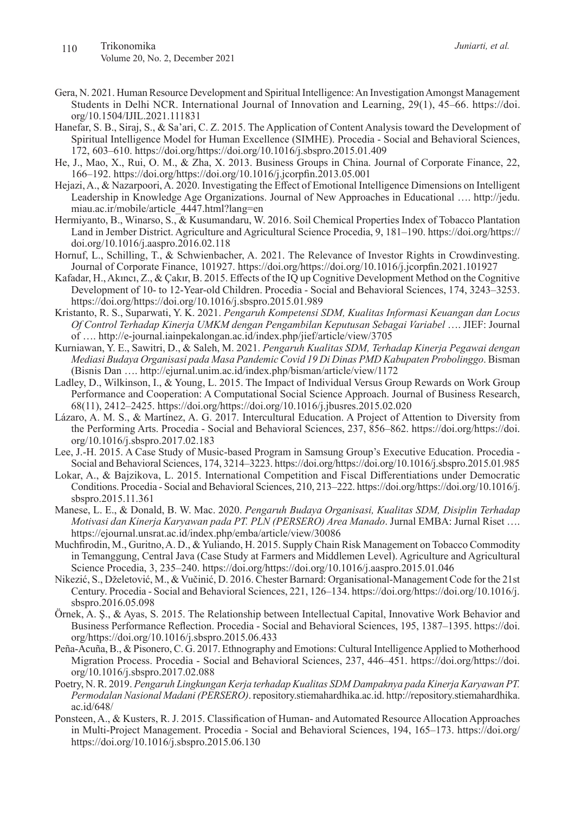*Juniarti, et al.*

- Gera, N. 2021. Human Resource Development and Spiritual Intelligence: An Investigation Amongst Management Students in Delhi NCR. International Journal of Innovation and Learning, 29(1), 45–66. https://doi. org/10.1504/IJIL.2021.111831
- Hanefar, S. B., Siraj, S., & Sa'ari, C. Z. 2015. The Application of Content Analysis toward the Development of Spiritual Intelligence Model for Human Excellence (SIMHE). Procedia - Social and Behavioral Sciences, 172, 603–610. https://doi.org/https://doi.org/10.1016/j.sbspro.2015.01.409
- He, J., Mao, X., Rui, O. M., & Zha, X. 2013. Business Groups in China. Journal of Corporate Finance, 22, 166–192. https://doi.org/https://doi.org/10.1016/j.jcorpfin.2013.05.001
- Hejazi, A., & Nazarpoori, A. 2020. Investigating the Effect of Emotional Intelligence Dimensions on Intelligent Leadership in Knowledge Age Organizations. Journal of New Approaches in Educational …. http://jedu. miau.ac.ir/mobile/article\_4447.html?lang=en
- Hermiyanto, B., Winarso, S., & Kusumandaru, W. 2016. Soil Chemical Properties Index of Tobacco Plantation Land in Jember District. Agriculture and Agricultural Science Procedia, 9, 181–190. https://doi.org/https:// doi.org/10.1016/j.aaspro.2016.02.118
- Hornuf, L., Schilling, T., & Schwienbacher, A. 2021. The Relevance of Investor Rights in Crowdinvesting. Journal of Corporate Finance, 101927. https://doi.org/https://doi.org/10.1016/j.jcorpfin.2021.101927
- Kafadar, H., Akıncı, Z., & Çakır, B. 2015. Effects of the IQ up Cognitive Development Method on the Cognitive Development of 10- to 12-Year-old Children. Procedia - Social and Behavioral Sciences, 174, 3243–3253. https://doi.org/https://doi.org/10.1016/j.sbspro.2015.01.989
- Kristanto, R. S., Suparwati, Y. K. 2021. *Pengaruh Kompetensi SDM, Kualitas Informasi Keuangan dan Locus Of Control Terhadap Kinerja UMKM dengan Pengambilan Keputusan Sebagai Variabel* …. JIEF: Journal of …. http://e-journal.iainpekalongan.ac.id/index.php/jief/article/view/3705
- Kurniawan, Y. E., Sawitri, D., & Saleh, M. 2021. *Pengaruh Kualitas SDM, Terhadap Kinerja Pegawai dengan Mediasi Budaya Organisasi pada Masa Pandemic Covid 19 Di Dinas PMD Kabupaten Probolinggo*. Bisman (Bisnis Dan …. http://ejurnal.unim.ac.id/index.php/bisman/article/view/1172
- Ladley, D., Wilkinson, I., & Young, L. 2015. The Impact of Individual Versus Group Rewards on Work Group Performance and Cooperation: A Computational Social Science Approach. Journal of Business Research, 68(11), 2412–2425. https://doi.org/https://doi.org/10.1016/j.jbusres.2015.02.020
- Lázaro, A. M. S., & Martínez, A. G. 2017. Intercultural Education. A Project of Attention to Diversity from the Performing Arts. Procedia - Social and Behavioral Sciences, 237, 856–862. https://doi.org/https://doi. org/10.1016/j.sbspro.2017.02.183
- Lee, J.-H. 2015. A Case Study of Music-based Program in Samsung Group's Executive Education. Procedia Social and Behavioral Sciences, 174, 3214–3223. https://doi.org/https://doi.org/10.1016/j.sbspro.2015.01.985
- Lokar, A., & Bajzikova, L. 2015. International Competition and Fiscal Differentiations under Democratic Conditions. Procedia - Social and Behavioral Sciences, 210, 213–222. https://doi.org/https://doi.org/10.1016/j. sbspro.2015.11.361
- Manese, L. E., & Donald, B. W. Mac. 2020. *Pengaruh Budaya Organisasi, Kualitas SDM, Disiplin Terhadap Motivasi dan Kinerja Karyawan pada PT. PLN (PERSERO) Area Manado*. Jurnal EMBA: Jurnal Riset …. https://ejournal.unsrat.ac.id/index.php/emba/article/view/30086
- Muchfirodin, M., Guritno, A. D., & Yuliando, H. 2015. Supply Chain Risk Management on Tobacco Commodity in Temanggung, Central Java (Case Study at Farmers and Middlemen Level). Agriculture and Agricultural Science Procedia, 3, 235–240. https://doi.org/https://doi.org/10.1016/j.aaspro.2015.01.046
- Nikezić, S., Dželetović, M., & Vučinić, D. 2016. Chester Barnard: Organisational-Management Code for the 21st Century. Procedia - Social and Behavioral Sciences, 221, 126–134. https://doi.org/https://doi.org/10.1016/j. sbspro.2016.05.098
- Örnek, A. Ş., & Ayas, S. 2015. The Relationship between Intellectual Capital, Innovative Work Behavior and Business Performance Reflection. Procedia - Social and Behavioral Sciences, 195, 1387–1395. https://doi. org/https://doi.org/10.1016/j.sbspro.2015.06.433
- Peña-Acuña, B., & Pisonero, C. G. 2017. Ethnography and Emotions: Cultural Intelligence Applied to Motherhood Migration Process. Procedia - Social and Behavioral Sciences, 237, 446–451. https://doi.org/https://doi. org/10.1016/j.sbspro.2017.02.088
- Poetry, N. R. 2019. *Pengaruh Lingkungan Kerja terhadap Kualitas SDM Dampaknya pada Kinerja Karyawan PT. Permodalan Nasional Madani (PERSERO)*. repository.stiemahardhika.ac.id. http://repository.stiemahardhika. ac.id/648/
- Ponsteen, A., & Kusters, R. J. 2015. Classification of Human- and Automated Resource Allocation Approaches in Multi-Project Management. Procedia - Social and Behavioral Sciences, 194, 165–173. https://doi.org/ https://doi.org/10.1016/j.sbspro.2015.06.130